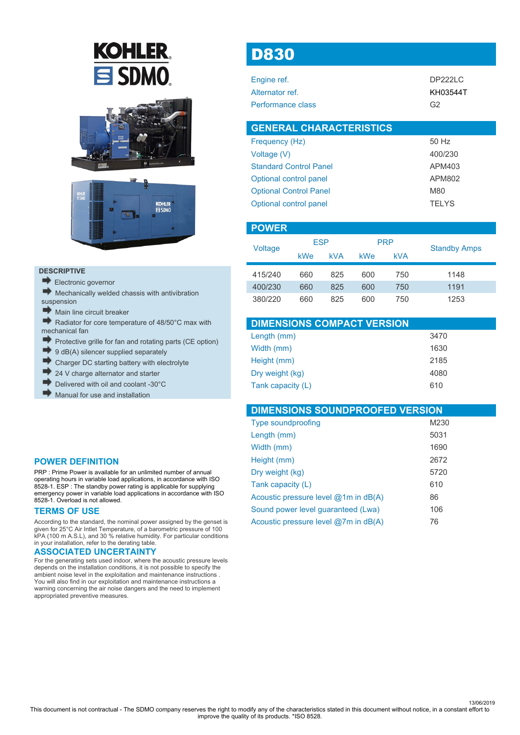# **KOHLER**  $\mathbf{\Xi}$  SDMO





#### **DESCRIPTIVE**

- Electronic governor
- Mechanically welded chassis with antivibration
- suspension<br>Main lin Main line circuit breaker
- Radiator for core temperature of 48/50°C max with mechanical fan
- D) Protective grille for fan and rotating parts (CE option)
- 9 dB(A) silencer supplied separately
- Charger DC starting battery with electrolyte
- 24 V charge alternator and starter
- Delivered with oil and coolant -30°C
- Manual for use and installation

### **POWER DEFINITION**

PRP : Prime Power is available for an unlimited number of annual operating hours in variable load applications, in accordance with ISO 8528-1. ESP : The standby power rating is applicable for supplying emergency power in variable load applications in accordance with ISO 8528-1. Overload is not allowed.

### **TERMS OF USE**

According to the standard, the nominal power assigned by the genset is given for 25°C Air Intlet Temperature, of a barometric pressure of 100 kPA (100 m A.S.L), and 30 % relative humidity. For particular conditions in your installation, refer to the derating table.

#### **ASSOCIATED UNCERTAINTY**

For the generating sets used indoor, where the acoustic pressure levels depends on the installation conditions, it is not possible to specify the ambient noise level in the exploitation and maintenance instructions . You will also find in our exploitation and maintenance instructions a warning concerning the air noise dangers and the need to implement appropriated preventive measures.

# D830

ŕ

| Engine ref.       | DP222LC        |
|-------------------|----------------|
| Alternator ref.   | KH03544T       |
| Performance class | G <sub>2</sub> |

| <b>GENERAL CHARACTERISTICS</b> |              |
|--------------------------------|--------------|
| Frequency (Hz)                 | 50 Hz        |
| Voltage (V)                    | 400/230      |
| <b>Standard Control Panel</b>  | APM403       |
| Optional control panel         | APM802       |
| <b>Optional Control Panel</b>  | M80          |
| Optional control panel         | <b>TFIYS</b> |

| <b>POWER</b> |            |                                        |                     |     |      |  |
|--------------|------------|----------------------------------------|---------------------|-----|------|--|
|              | <b>ESP</b> |                                        | <b>PRP</b>          |     |      |  |
| Voltage      | kWe        | <b>kVA</b><br><b>kWe</b><br><b>kVA</b> | <b>Standby Amps</b> |     |      |  |
| 415/240      | 660        | 825                                    | 600                 | 750 | 1148 |  |
| 400/230      | 660        | 825                                    | 600                 | 750 | 1191 |  |
| 380/220      | 660        | 825                                    | 600                 | 750 | 1253 |  |

| <b>DIMENSIONS COMPACT VERSION</b> |      |
|-----------------------------------|------|
| Length (mm)                       | 3470 |
| Width (mm)                        | 1630 |
| Height (mm)                       | 2185 |
| Dry weight (kg)                   | 4080 |
| Tank capacity (L)                 | 610  |

| <b>DIMENSIONS SOUNDPROOFED VERSION</b> |      |
|----------------------------------------|------|
| <b>Type soundproofing</b>              | M230 |
| Length (mm)                            | 5031 |
| Width (mm)                             | 1690 |
| Height (mm)                            | 2672 |
| Dry weight (kg)                        | 5720 |
| Tank capacity (L)                      | 610  |
| Acoustic pressure level $@1m$ in dB(A) | 86   |
| Sound power level quaranteed (Lwa)     | 106  |
| Acoustic pressure level @7m in dB(A)   | 76   |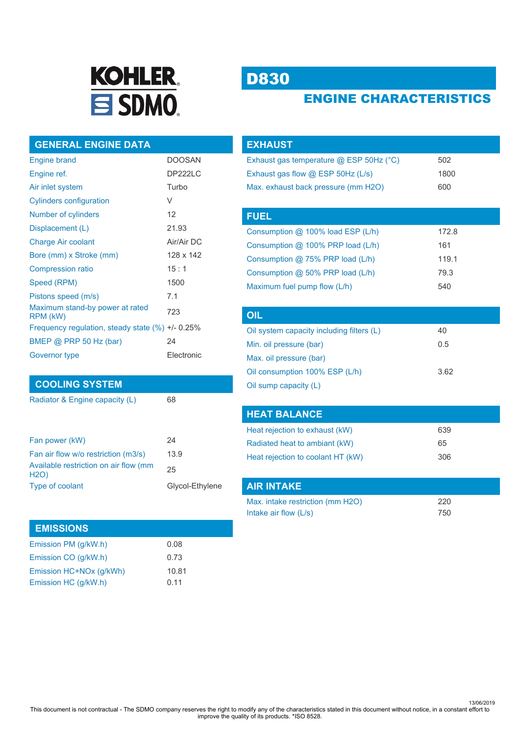

# D830

# ENGINE CHARACTERISTICS

### **GENERAL ENGINE DATA**

| <b>Engine brand</b>                                  | <b>DOOSAN</b> |
|------------------------------------------------------|---------------|
| Engine ref.                                          | DP222LC       |
| Air inlet system                                     | Turbo         |
| <b>Cylinders configuration</b>                       | V             |
| Number of cylinders                                  | 12            |
| Displacement (L)                                     | 21.93         |
| <b>Charge Air coolant</b>                            | Air/Air DC    |
| Bore (mm) x Stroke (mm)                              | 128 x 142     |
| <b>Compression ratio</b>                             | 15:1          |
| Speed (RPM)                                          | 1500          |
| Pistons speed (m/s)                                  | 7.1           |
| Maximum stand-by power at rated<br>RPM (kW)          | 723           |
| Frequency regulation, steady state $(\%) +1$ - 0.25% |               |
| BMEP $@$ PRP 50 Hz (bar)                             | 24            |
| Governor type                                        | Electronic    |

### **COOLING SYSTEM**

Radiator & Engine capacity (L) 68

| Fan power (kW)                                       | 24              |
|------------------------------------------------------|-----------------|
| Fan air flow w/o restriction (m3/s)                  | 13.9            |
| Available restriction on air flow (mm<br><b>H2O)</b> | 25              |
| Type of coolant                                      | Glycol-Ethylene |
|                                                      |                 |

### **EMISSIONS**

| Emission PM (g/kW.h)    | 0.08  |
|-------------------------|-------|
| Emission CO (q/kW.h)    | 0.73  |
| Emission HC+NOx (q/kWh) | 10.81 |
| Emission HC (g/kW.h)    | 0.11  |

| <b>EXHAUST</b>                            |       |
|-------------------------------------------|-------|
| Exhaust gas temperature @ ESP 50Hz (°C)   | 502   |
| Exhaust gas flow $@$ ESP 50Hz (L/s)       | 1800  |
| Max. exhaust back pressure (mm H2O)       | 600   |
|                                           |       |
| <b>FUEL</b>                               |       |
| Consumption @ 100% load ESP (L/h)         | 172.8 |
| Consumption $@$ 100% PRP load (L/h)       | 161   |
| Consumption $@$ 75% PRP load (L/h)        | 119.1 |
| Consumption $@$ 50% PRP load (L/h)        | 79.3  |
| Maximum fuel pump flow (L/h)              | 540   |
|                                           |       |
| <b>OIL</b>                                |       |
| Oil system canacity including filters (L) | ΔΛ    |

| Oil system capacity including filters (L) | 40   |
|-------------------------------------------|------|
| Min. oil pressure (bar)                   | 0.5  |
| Max. oil pressure (bar)                   |      |
| Oil consumption 100% ESP (L/h)            | 3.62 |
| Oil sump capacity (L)                     |      |

| <b>HEAT BALANCE</b>               |     |
|-----------------------------------|-----|
| Heat rejection to exhaust (kW)    | 639 |
| Radiated heat to ambiant (kW)     | 65  |
| Heat rejection to coolant HT (kW) | 306 |

| <b>AIR INTAKE</b>                |     |
|----------------------------------|-----|
| Max. intake restriction (mm H2O) | 220 |
| Intake air flow $(L/s)$          | 750 |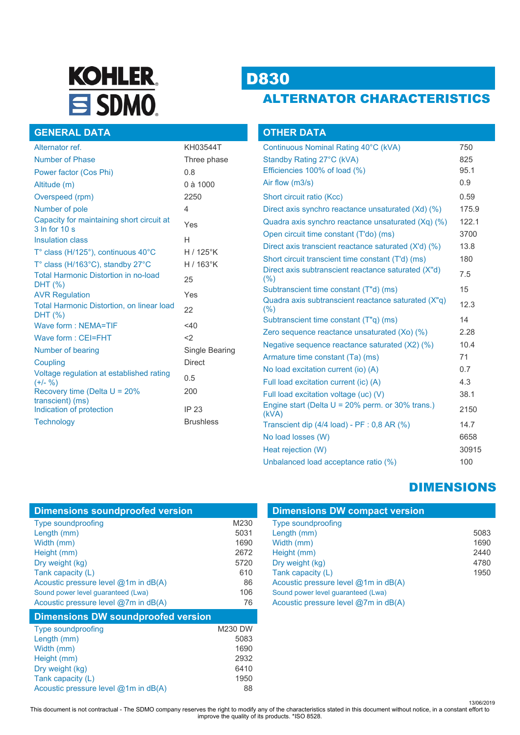# **KOHLER** SDMO.

# D830

# ALTERNATOR CHARACTERISTICS

|  | <b>GENERAL DATA</b> |
|--|---------------------|
|  |                     |
|  |                     |

| Alternator ref.                                                         | KH03544T         |
|-------------------------------------------------------------------------|------------------|
| <b>Number of Phase</b>                                                  | Three phase      |
| Power factor (Cos Phi)                                                  | 0.8              |
| Altitude (m)                                                            | 0 à 1000         |
| Overspeed (rpm)                                                         | 2250             |
| Number of pole                                                          | 4                |
| Capacity for maintaining short circuit at<br>$3 \ln$ for $10 \text{ s}$ | Yes              |
| <b>Insulation class</b>                                                 | н                |
| T° class (H/125°), continuous 40°C                                      | $H/125$ °K       |
| T° class (H/163°C), standby 27°C                                        | $H/163$ °K       |
| <b>Total Harmonic Distortion in no-load</b><br>DHT (%)                  | 25               |
| <b>AVR Regulation</b>                                                   | Yes              |
| <b>Total Harmonic Distortion, on linear load</b><br>DHT (%)             | 22               |
| Wave form: NEMA=TIF                                                     | $<$ 40           |
| Wave form: CEI=FHT                                                      | <                |
| Number of bearing                                                       | Single Bearing   |
| Coupling                                                                | <b>Direct</b>    |
| Voltage regulation at established rating<br>$(+/-  %)$                  | 0.5              |
| Recovery time (Delta $U = 20\%$                                         | 200              |
| transcient) (ms)<br>Indication of protection                            | IP 23            |
| Technology                                                              | <b>Brushless</b> |

| <b>OTHER DATA</b>                                            |       |
|--------------------------------------------------------------|-------|
| Continuous Nominal Rating 40°C (kVA)                         | 750   |
| Standby Rating 27°C (kVA)                                    | 825   |
| Efficiencies 100% of load (%)                                | 95.1  |
| Air flow (m3/s)                                              | 0.9   |
| Short circuit ratio (Kcc)                                    | 0.59  |
| Direct axis synchro reactance unsaturated (Xd) (%)           | 175.9 |
| Quadra axis synchro reactance unsaturated (Xq) (%)           | 122.1 |
| Open circuit time constant (T'do) (ms)                       | 3700  |
| Direct axis transcient reactance saturated (X'd) (%)         | 13.8  |
| Short circuit transcient time constant (T'd) (ms)            | 180   |
| Direct axis subtranscient reactance saturated (X"d)<br>(% )  | 7.5   |
| Subtranscient time constant (T"d) (ms)                       | 15    |
| Quadra axis subtranscient reactance saturated (X"q)<br>(% )  | 12.3  |
| Subtranscient time constant (T"q) (ms)                       | 14    |
| Zero sequence reactance unsaturated (Xo) (%)                 | 2.28  |
| Negative sequence reactance saturated (X2) (%)               | 10.4  |
| Armature time constant (Ta) (ms)                             | 71    |
| No load excitation current (io) (A)                          | 0.7   |
| Full load excitation current (ic) (A)                        | 4.3   |
| Full load excitation voltage (uc) (V)                        | 38.1  |
| Engine start (Delta $U = 20\%$ perm. or 30% trans.)<br>(KVA) | 2150  |
| Transcient dip (4/4 load) - PF : 0,8 AR (%)                  | 14.7  |
| No load losses (W)                                           | 6658  |
| Heat rejection (W)                                           | 30915 |
| Unbalanced load acceptance ratio (%)                         | 100   |

## DIMENSIONS

| <b>Dimensions DW compact version</b>   |      |  |
|----------------------------------------|------|--|
| <b>Type soundproofing</b>              |      |  |
| Length (mm)                            | 5083 |  |
| Width (mm)                             | 1690 |  |
| Height (mm)                            | 2440 |  |
| Dry weight (kg)                        | 4780 |  |
| Tank capacity (L)                      | 1950 |  |
| Acoustic pressure level $@1m$ in dB(A) |      |  |
| Sound power level quaranteed (Lwa)     |      |  |
| Acoustic pressure level @7m in dB(A)   |      |  |

| Width (mm)                                | 1690           |
|-------------------------------------------|----------------|
| Height (mm)                               | 2672           |
| Dry weight (kg)                           | 5720           |
| Tank capacity (L)                         | 610            |
| Acoustic pressure level $@1m$ in dB(A)    | 86             |
| Sound power level guaranteed (Lwa)        | 106            |
| Acoustic pressure level $@7m$ in dB(A)    | 76             |
| <b>Dimensions DW soundproofed version</b> |                |
|                                           |                |
| <b>Type soundproofing</b>                 | <b>M230 DW</b> |
| Length (mm)                               | 5083           |
| Width (mm)                                | 1690           |
| Height (mm)                               | 2932           |

Dry weight (kg) 6410 Tank capacity (L) 1950 Acoustic pressure level @1m in dB(A) 88

Type soundproofing M230 Length (mm) 5031

**Dimensions soundproofed version**

13/06/2019 This document is not contractual - The SDMO company reserves the right to modify any of the characteristics stated in this document without notice, in a constant effort to improve the quality of its products. \*ISO 8528.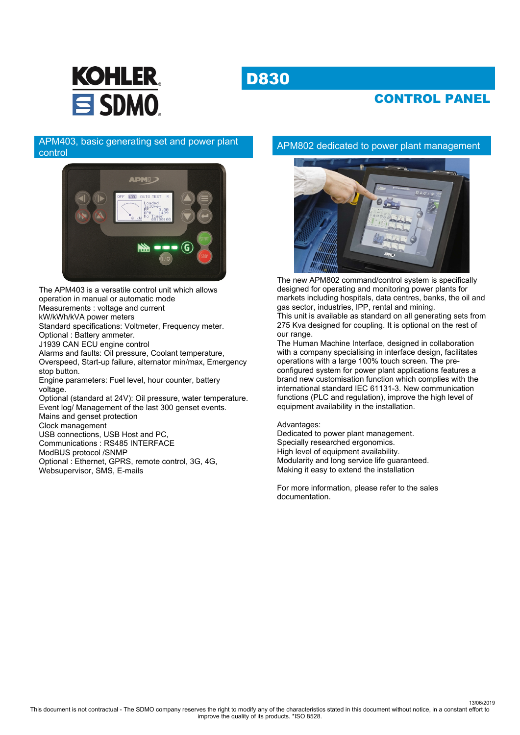# D830



## CONTROL PANEL

### APM403, basic generating set and power plant control



The APM403 is a versatile control unit which allows operation in manual or automatic mode Measurements : voltage and current kW/kWh/kVA power meters Standard specifications: Voltmeter, Frequency meter. Optional : Battery ammeter. J1939 CAN ECU engine control Alarms and faults: Oil pressure, Coolant temperature, Overspeed, Start-up failure, alternator min/max, Emergency stop button. Engine parameters: Fuel level, hour counter, battery voltage. Optional (standard at 24V): Oil pressure, water temperature. Event log/ Management of the last 300 genset events. Mains and genset protection Clock management USB connections, USB Host and PC, Communications : RS485 INTERFACE ModBUS protocol /SNMP Optional : Ethernet, GPRS, remote control, 3G, 4G, Websupervisor, SMS, E-mails

### APM802 dedicated to power plant management



The new APM802 command/control system is specifically designed for operating and monitoring power plants for markets including hospitals, data centres, banks, the oil and gas sector, industries, IPP, rental and mining.

This unit is available as standard on all generating sets from 275 Kva designed for coupling. It is optional on the rest of our range.

The Human Machine Interface, designed in collaboration with a company specialising in interface design, facilitates operations with a large 100% touch screen. The preconfigured system for power plant applications features a brand new customisation function which complies with the international standard IEC 61131-3. New communication functions (PLC and regulation), improve the high level of equipment availability in the installation.

#### Advantages:

Dedicated to power plant management. Specially researched ergonomics. High level of equipment availability. Modularity and long service life guaranteed. Making it easy to extend the installation

For more information, please refer to the sales documentation.